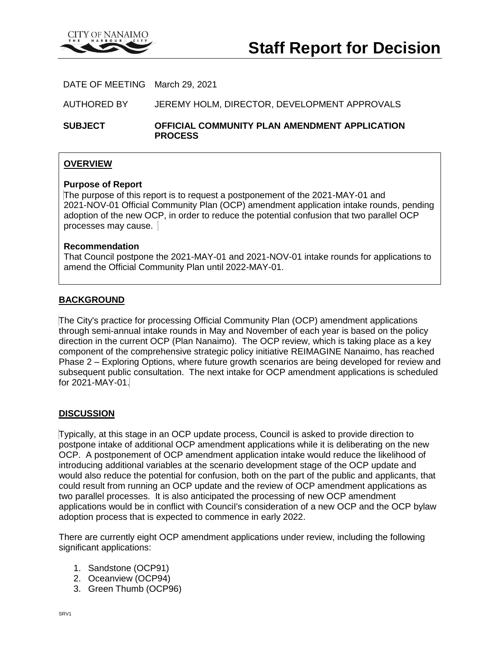

DATE OF MEETING March 29, 2021

AUTHORED BY JEREMY HOLM, DIRECTOR, DEVELOPMENT APPROVALS

**SUBJECT OFFICIAL COMMUNITY PLAN AMENDMENT APPLICATION PROCESS**

## **OVERVIEW**

#### **Purpose of Report**

The purpose of this report is to request a postponement of the 2021-MAY-01 and 2021-NOV-01 Official Community Plan (OCP) amendment application intake rounds, pending adoption of the new OCP, in order to reduce the potential confusion that two parallel OCP processes may cause.

#### **Recommendation**

That Council postpone the 2021-MAY-01 and 2021-NOV-01 intake rounds for applications to amend the Official Community Plan until 2022-MAY-01.

## **BACKGROUND**

The City's practice for processing Official Community Plan (OCP) amendment applications through semi-annual intake rounds in May and November of each year is based on the policy direction in the current OCP (Plan Nanaimo). The OCP review, which is taking place as a key component of the comprehensive strategic policy initiative REIMAGINE Nanaimo, has reached Phase 2 – Exploring Options, where future growth scenarios are being developed for review and subsequent public consultation. The next intake for OCP amendment applications is scheduled for 2021-MAY-01.

#### **DISCUSSION**

Typically, at this stage in an OCP update process, Council is asked to provide direction to postpone intake of additional OCP amendment applications while it is deliberating on the new OCP. A postponement of OCP amendment application intake would reduce the likelihood of introducing additional variables at the scenario development stage of the OCP update and would also reduce the potential for confusion, both on the part of the public and applicants, that could result from running an OCP update and the review of OCP amendment applications as two parallel processes. It is also anticipated the processing of new OCP amendment applications would be in conflict with CounciI's consideration of a new OCP and the OCP bylaw adoption process that is expected to commence in early 2022.

There are currently eight OCP amendment applications under review, including the following significant applications:

- 1. Sandstone (OCP91)
- 2. Oceanview (OCP94)
- 3. Green Thumb (OCP96)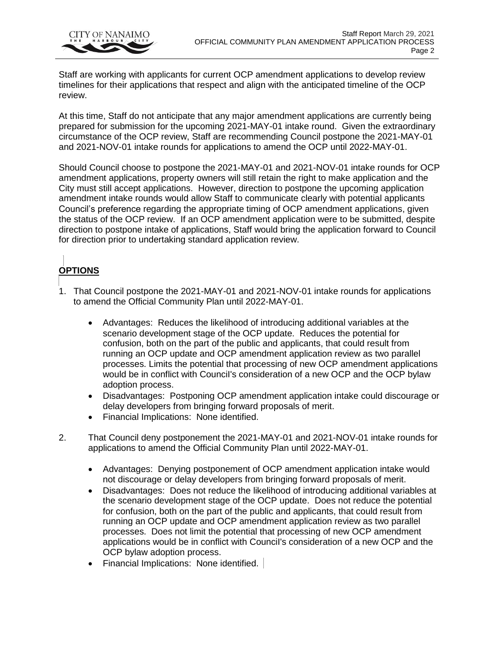

Staff are working with applicants for current OCP amendment applications to develop review timelines for their applications that respect and align with the anticipated timeline of the OCP review.

At this time, Staff do not anticipate that any major amendment applications are currently being prepared for submission for the upcoming 2021-MAY-01 intake round. Given the extraordinary circumstance of the OCP review, Staff are recommending Council postpone the 2021-MAY-01 and 2021-NOV-01 intake rounds for applications to amend the OCP until 2022-MAY-01.

Should Council choose to postpone the 2021-MAY-01 and 2021-NOV-01 intake rounds for OCP amendment applications, property owners will still retain the right to make application and the City must still accept applications. However, direction to postpone the upcoming application amendment intake rounds would allow Staff to communicate clearly with potential applicants Council's preference regarding the appropriate timing of OCP amendment applications, given the status of the OCP review. If an OCP amendment application were to be submitted, despite direction to postpone intake of applications, Staff would bring the application forward to Council for direction prior to undertaking standard application review.

# **OPTIONS**

- 1. That Council postpone the 2021-MAY-01 and 2021-NOV-01 intake rounds for applications to amend the Official Community Plan until 2022-MAY-01.
	- Advantages: Reduces the likelihood of introducing additional variables at the scenario development stage of the OCP update. Reduces the potential for confusion, both on the part of the public and applicants, that could result from running an OCP update and OCP amendment application review as two parallel processes. Limits the potential that processing of new OCP amendment applications would be in conflict with CounciI's consideration of a new OCP and the OCP bylaw adoption process.
	- Disadvantages: Postponing OCP amendment application intake could discourage or delay developers from bringing forward proposals of merit.
	- Financial Implications: None identified.
- 2. That Council deny postponement the 2021-MAY-01 and 2021-NOV-01 intake rounds for applications to amend the Official Community Plan until 2022-MAY-01.
	- Advantages: Denying postponement of OCP amendment application intake would not discourage or delay developers from bringing forward proposals of merit.
	- Disadvantages: Does not reduce the likelihood of introducing additional variables at the scenario development stage of the OCP update. Does not reduce the potential for confusion, both on the part of the public and applicants, that could result from running an OCP update and OCP amendment application review as two parallel processes. Does not limit the potential that processing of new OCP amendment applications would be in conflict with CounciI's consideration of a new OCP and the OCP bylaw adoption process.
	- Financial Implications: None identified.